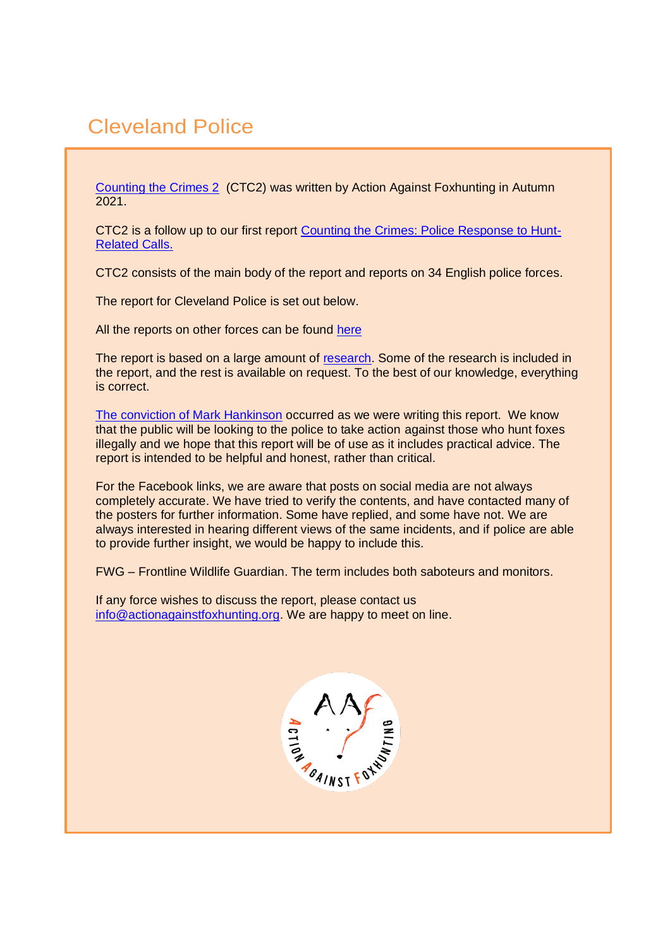# Cleveland Police

[Counting the Crimes 2](https://www.actionagainstfoxhunting.org/counting-the-crimes2-the-police-response/) (CTC2) was written by Action Against Foxhunting in Autumn 2021.

CTC2 is a follow up to our first report [Counting the Crimes: Police Response to Hunt-](https://www.actionagainstfoxhunting.org/counting-the-crimes/)[Related Calls.](https://www.actionagainstfoxhunting.org/counting-the-crimes/)

CTC2 consists of the main body of the report and reports on 34 English police forces.

The report for Cleveland Police is set out below.

All the reports on other forces can be found [here](https://www.actionagainstfoxhunting.org/counting-the-crimes2-the-police-response/)

The report is based on a large amount of [research.](https://www.actionagainstfoxhunting.org/wp-content/uploads/2021/11/A-1411-Research-for-CTC2.pdf) Some of the research is included in the report, and the rest is available on request. To the best of our knowledge, everything is correct.

[The conviction of Mark Hankinson](https://www.league.org.uk/news-and-resources/news/hunting-office-webinars-the-road-to-conviction/) occurred as we were writing this report. We know that the public will be looking to the police to take action against those who hunt foxes illegally and we hope that this report will be of use as it includes practical advice. The report is intended to be helpful and honest, rather than critical.

For the Facebook links, we are aware that posts on social media are not always completely accurate. We have tried to verify the contents, and have contacted many of the posters for further information. Some have replied, and some have not. We are always interested in hearing different views of the same incidents, and if police are able to provide further insight, we would be happy to include this.

FWG – Frontline Wildlife Guardian. The term includes both saboteurs and monitors.

If any force wishes to discuss the report, please contact us [info@actionagainstfoxhunting.org.](mailto:info@actionagainstfoxhunting.org) We are happy to meet on line.

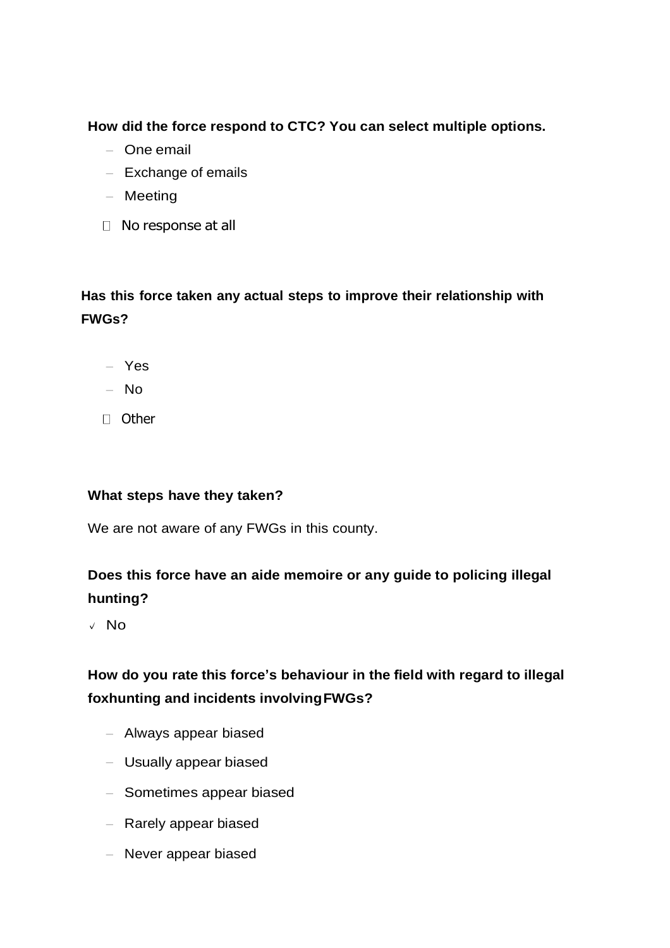**How did the force respond to CTC? You can select multiple options.**

- One email
- Exchange of emails
- Meeting
- □ No response at all

# **Has this force taken any actual steps to improve their relationship with FWGs?**

- Yes
- No
- D Other

### **What steps have they taken?**

We are not aware of any FWGs in this county.

## **Does this force have an aide memoire or any guide to policing illegal hunting?**

**✓** No

## **How do you rate this force's behaviour in the field with regard to illegal foxhunting and incidents involvingFWGs?**

- Always appear biased
- Usually appear biased
- Sometimes appear biased
- Rarely appear biased
- Never appear biased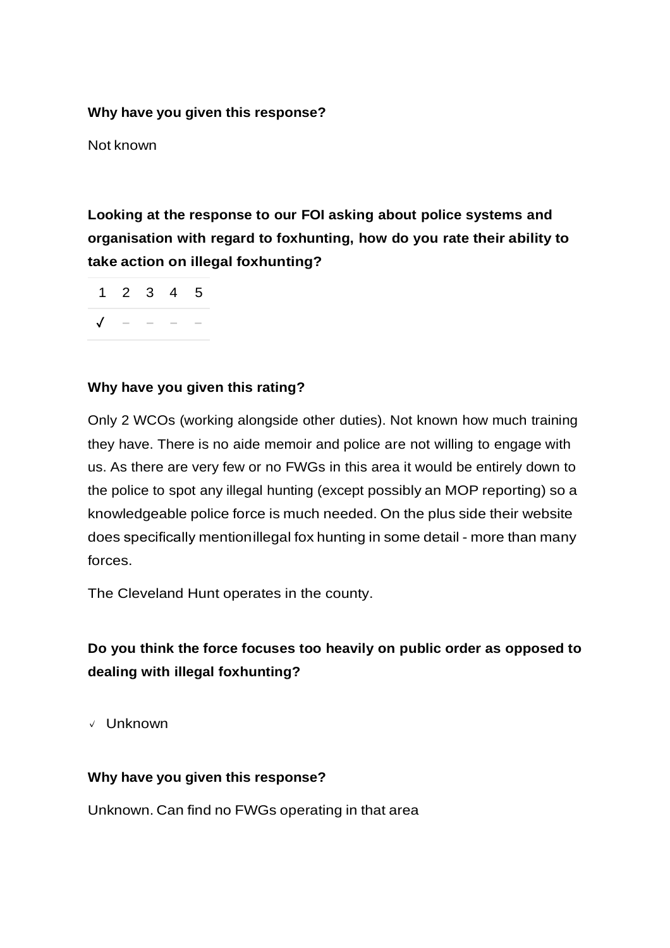#### **Why have you given this response?**

Not known

**Looking at the response to our FOI asking about police systems and organisation with regard to foxhunting, how do you rate their ability to take action on illegal foxhunting?**

1 2 3 4 5 ✓ − − − −

### **Why have you given this rating?**

Only 2 WCOs (working alongside other duties). Not known how much training they have. There is no aide memoir and police are not willing to engage with us. As there are very few or no FWGs in this area it would be entirely down to the police to spot any illegal hunting (except possibly an MOP reporting) so a knowledgeable police force is much needed. On the plus side their website does specifically mentionillegal fox hunting in some detail - more than many forces.

The Cleveland Hunt operates in the county.

### **Do you think the force focuses too heavily on public order as opposed to dealing with illegal foxhunting?**

**✓** Unknown

#### **Why have you given this response?**

Unknown. Can find no FWGs operating in that area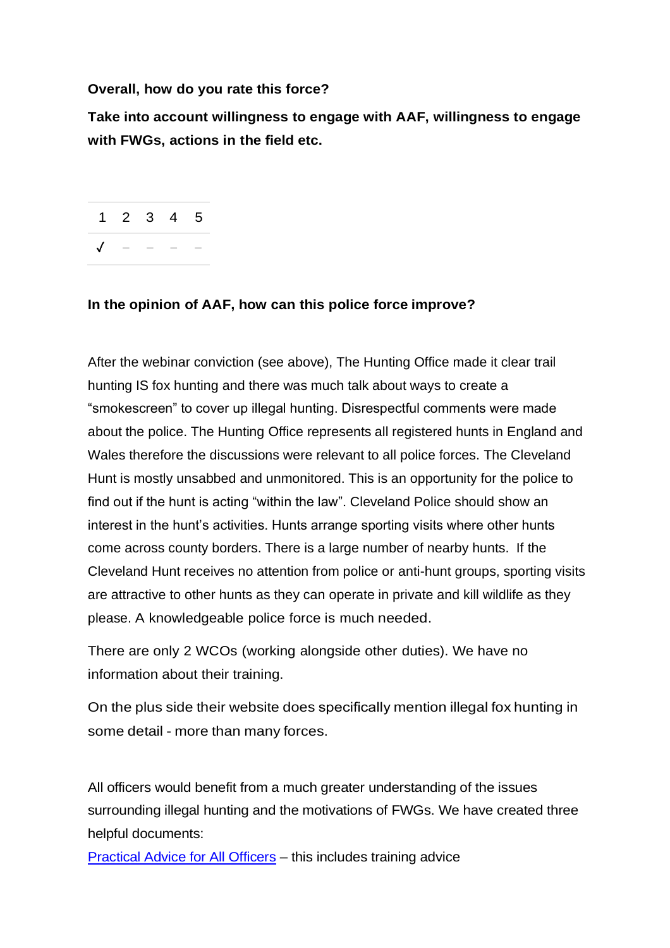#### **Overall, how do you rate this force?**

**Take into account willingness to engage with AAF, willingness to engage with FWGs, actions in the field etc.**

1 2 3 4 5 ✓ − − − −

#### **In the opinion of AAF, how can this police force improve?**

After the webinar conviction (see above), The Hunting Office made it clear trail hunting IS fox hunting and there was much talk about ways to create a "smokescreen" to cover up illegal hunting. Disrespectful comments were made about the police. The Hunting Office represents all registered hunts in England and Wales therefore the discussions were relevant to all police forces. The Cleveland Hunt is mostly unsabbed and unmonitored. This is an opportunity for the police to find out if the hunt is acting "within the law". Cleveland Police should show an interest in the hunt's activities. Hunts arrange sporting visits where other hunts come across county borders. There is a large number of nearby hunts. If the Cleveland Hunt receives no attention from police or anti-hunt groups, sporting visits are attractive to other hunts as they can operate in private and kill wildlife as they please. A knowledgeable police force is much needed.

There are only 2 WCOs (working alongside other duties). We have no information about their training.

On the plus side their website does specifically mention illegal fox hunting in some detail - more than many forces.

All officers would benefit from a much greater understanding of the issues surrounding illegal hunting and the motivations of FWGs. We have created three helpful documents:

[Practical Advice for All Officers](https://www.actionagainstfoxhunting.org/wp-content/uploads/2021/11/B-1411-Practical-Advice-for-all-Police-Forces.pdf) – this includes training advice